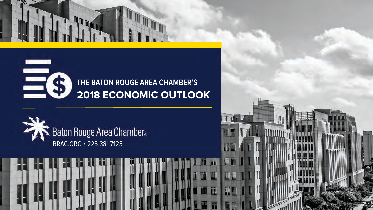

### **THE BATON ROUGE AREA CHAMBER'S 2018 ECONOMIC OUTLOOK**

TI



1

EG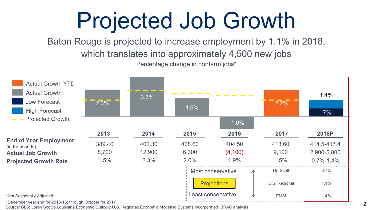# Projected Job Growth

Baton Rouge is projected to increase employment by 1.1% in 2018, which translates into approximately 4,500 new jobs Percentage change in nonfarm jobs\*



Source: BLS; Loren Scott's Louisiana Economic Outlook; U.S. Regional; Economic Modeling Systems Incorporated; BRAC analysis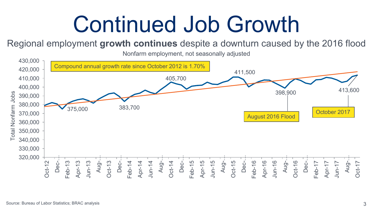### Continued Job Growth

Regional employment **growth continues** despite a downturn caused by the 2016 flood

Nonfarm employment, not seasonally adjusted

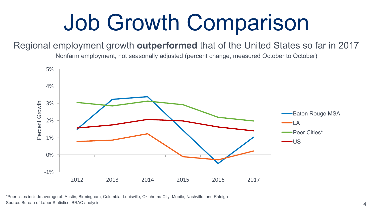# Job Growth Comparison

#### Regional employment growth **outperformed** that of the United States so far in 2017

Nonfarm employment, not seasonally adjusted (percent change, measured October to October)



\*Peer cities include average of: Austin, Birmingham, Columbia, Louisville, Oklahoma City, Mobile, Nashville, and Raleigh Source: Bureau of Labor Statistics; BRAC analysis 4 and 2008 and 2008 and 2008 and 2008 and 2008 and 2008 and 2008 and 2008 and 2008 and 2008 and 2008 and 2008 and 2008 and 2008 and 2008 and 2008 and 2008 and 2008 and 2008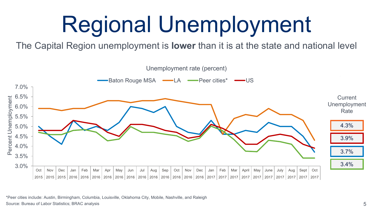# Regional Unemployment

The Capital Region unemployment is **lower** than it is at the state and national level



\*Peer cities include: Austin, Birmingham, Columbia, Louisville, Oklahoma City, Mobile, Nashville, and Raleigh Source: Bureau of Labor Statistics; BRAC analysis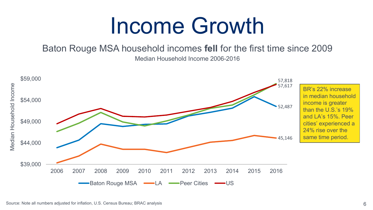### Income Growth

Baton Rouge MSA household incomes **fell** for the first time since 2009 Median Household Income 2006-2016

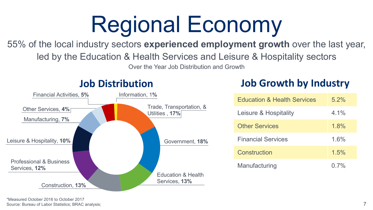# Regional Economy

### 55% of the local industry sectors **experienced employment growth** over the last year,

led by the Education & Health Services and Leisure & Hospitality sectors

Over the Year Job Distribution and Growth



### **Job Distribution**

### **Job Growth by Industry**

| <b>Education &amp; Health Services</b> | $5.2\%$ |
|----------------------------------------|---------|
| Leisure & Hospitality                  | 4.1%    |
| <b>Other Services</b>                  | 1.8%    |
| <b>Financial Services</b>              | 1.6%    |
| Construction                           | 1.5%    |
| Manufacturing                          | $0.7\%$ |

\*Measured October 2016 to October 2017 Source: Bureau of Labor Statistics; BRAC analysis;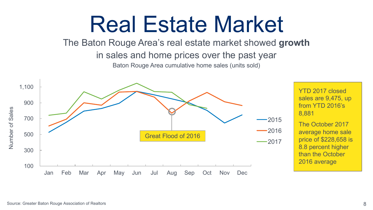### Real Estate Market

The Baton Rouge Area's real estate market showed **growth**

in sales and home prices over the past year

Baton Rouge Area cumulative home sales (units sold)



YTD 2017 closed sales are 9,475, up from YTD 2016's 8,881

The October 2017 average home sale price of \$228,658 is 8.8 percent higher than the October 2016 average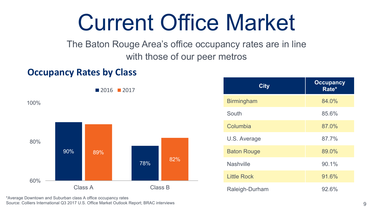### Current Office Market

The Baton Rouge Area's office occupancy rates are in line with those of our peer metros

### **Occupancy Rates by Class**

90% 78% 89% 82% 60% 80% 100% Class A Class B **2016** 2017

\*Average Downtown and Suburban class A office occupancy rates Source: Colliers International Q3 2017 U.S. Office Market Outlook Report; BRAC interviews

| <b>City</b>        | <b>Occupancy</b><br>Rate* |
|--------------------|---------------------------|
| <b>Birmingham</b>  | 84.0%                     |
| South              | 85.6%                     |
| Columbia           | 87.0%                     |
| U.S. Average       | 87.7%                     |
| <b>Baton Rouge</b> | 89.0%                     |
| <b>Nashville</b>   | 90.1%                     |
| <b>Little Rock</b> | 91.6%                     |
| Raleigh-Durham     | 92.6%                     |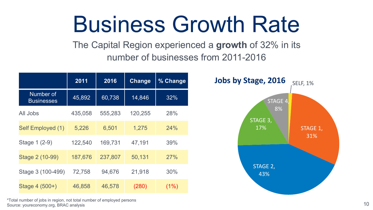### Business Growth Rate

The Capital Region experienced a **growth** of 32% in its number of businesses from 2011-2016

|                                | 2011    | 2016    | <b>Change</b> | % Change |
|--------------------------------|---------|---------|---------------|----------|
| Number of<br><b>Businesses</b> | 45,892  | 60,738  | 14,846        | 32%      |
| All Jobs                       | 435,058 | 555,283 | 120,255       | 28%      |
| Self Employed (1)              | 5,226   | 6,501   | 1,275         | 24%      |
| Stage 1 (2-9)                  | 122,540 | 169,731 | 47,191        | 39%      |
| Stage 2 (10-99)                | 187,676 | 237,807 | 50,131        | 27%      |
| Stage 3 (100-499)              | 72,758  | 94,676  | 21,918        | 30%      |
| Stage 4 (500+)                 | 46,858  | 46,578  | (280)         | (1%)     |



\*Total number of jobs in region, not total number of employed persons Source: youreconomy.org, BRAC analysis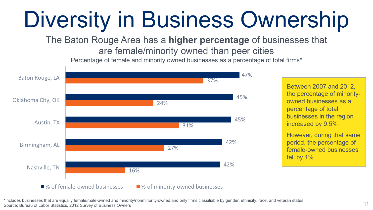# Diversity in Business Ownership

The Baton Rouge Area has a **higher percentage** of businesses that are female/minority owned than peer cities

Percentage of female and minority owned businesses as a percentage of total firms\*



Between 2007 and 2012, the percentage of minorityowned businesses as a percentage of total businesses in the region increased by 9.5%

However, during that same period, the percentage of female-owned businesses fell by 1%

#### \*Includes businesses that are equally female/male-owned and minority/nonminority-owned and only firms classifiable by gender, ethnicity, race, and veteran status Source: Bureau of Labor Statistics, 2012 Survey of Business Owners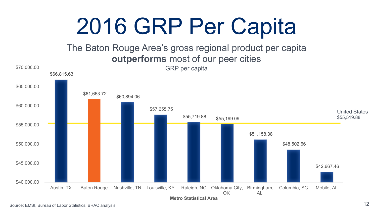# 2016 GRP Per Capita

### The Baton Rouge Area's gross regional product per capita **outperforms** most of our peer cities

![](_page_11_Figure_2.jpeg)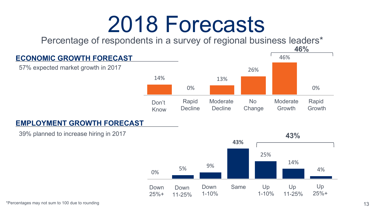### 2018 Forecasts

Percentage of respondents in a survey of regional business leaders\*

![](_page_12_Figure_2.jpeg)

![](_page_12_Figure_3.jpeg)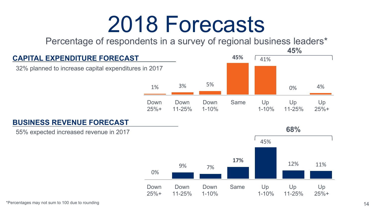### 2018 Forecasts

Percentage of respondents in a survey of regional business leaders\*

![](_page_13_Figure_2.jpeg)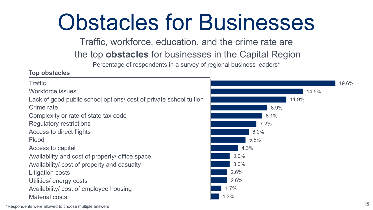# Obstacles for Businesses

Traffic, workforce, education, and the crime rate are

the top **obstacles** for businesses in the Capital Region

Percentage of respondents in a survey of regional business leaders\*

#### **Top obstacles**

![](_page_14_Figure_5.jpeg)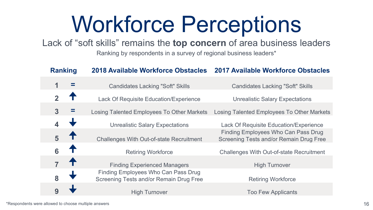# Workforce Perceptions

Lack of "soft skills" remains the **top concern** of area business leaders

Ranking by respondents in a survey of regional business leaders\*

| <b>Ranking</b> |  | <b>2018 Available Workforce Obstacles</b>                                      | <b>2017 Available Workforce Obstacles</b>                                      |
|----------------|--|--------------------------------------------------------------------------------|--------------------------------------------------------------------------------|
| 1              |  | <b>Candidates Lacking "Soft" Skills</b>                                        | <b>Candidates Lacking "Soft" Skills</b>                                        |
| $\mathbf{c}$   |  | Lack Of Requisite Education/Experience                                         | <b>Unrealistic Salary Expectations</b>                                         |
| 3              |  | Losing Talented Employees To Other Markets                                     | Losing Talented Employees To Other Markets                                     |
|                |  | <b>Unrealistic Salary Expectations</b>                                         | Lack Of Requisite Education/Experience                                         |
| 5              |  | <b>Challenges With Out-of-state Recruitment</b>                                | Finding Employees Who Can Pass Drug<br>Screening Tests and/or Remain Drug Free |
| 6              |  | <b>Retiring Workforce</b>                                                      | <b>Challenges With Out-of-state Recruitment</b>                                |
|                |  | <b>Finding Experienced Managers</b>                                            | <b>High Turnover</b>                                                           |
| 8              |  | Finding Employees Who Can Pass Drug<br>Screening Tests and/or Remain Drug Free | <b>Retiring Workforce</b>                                                      |
| 9              |  | <b>High Turnover</b>                                                           | <b>Too Few Applicants</b>                                                      |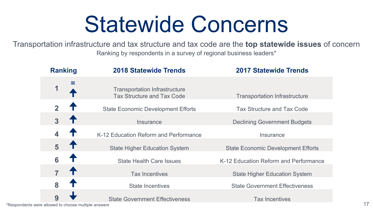### Statewide Concerns

Transportation infrastructure and tax structure and tax code are the **top statewide issues** of concern Ranking by respondents in a survey of regional business leaders\*

| <b>Ranking</b>          | <b>2018 Statewide Trends</b>                                              | <b>2017 Statewide Trends</b>              |
|-------------------------|---------------------------------------------------------------------------|-------------------------------------------|
| 1                       | <b>Transportation Infrastructure</b><br><b>Tax Structure and Tax Code</b> | <b>Transportation Infrastructure</b>      |
| $\overline{\mathbf{z}}$ | <b>State Economic Development Efforts</b>                                 | <b>Tax Structure and Tax Code</b>         |
| 3                       | Insurance                                                                 | <b>Declining Government Budgets</b>       |
|                         | K-12 Education Reform and Performance                                     | Insurance                                 |
| 5                       | <b>State Higher Education System</b>                                      | <b>State Economic Development Efforts</b> |
| 6                       | <b>State Health Care Issues</b>                                           | K-12 Education Reform and Performance     |
| $\overline{7}$          | <b>Tax Incentives</b>                                                     | <b>State Higher Education System</b>      |
| 8                       | <b>State Incentives</b>                                                   | <b>State Government Effectiveness</b>     |
| 9                       | <b>State Government Effectiveness</b>                                     | <b>Tax Incentives</b>                     |

\*Respondents were allowed to choose multiple answers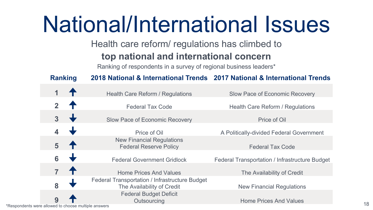### National/International Issues

Health care reform/ regulations has climbed to

### **top national and international concern**

Ranking of respondents in a survey of regional business leaders\*

**Ranking 2018 National & International Trends 2017 National & International Trends**

|                                                      |   | Health Care Reform / Regulations                                             | Slow Pace of Economic Recovery                 |
|------------------------------------------------------|---|------------------------------------------------------------------------------|------------------------------------------------|
|                                                      |   | <b>Federal Tax Code</b>                                                      | Health Care Reform / Regulations               |
|                                                      | 3 | Slow Pace of Economic Recovery                                               | Price of Oil                                   |
|                                                      |   | Price of Oil                                                                 | A Politically-divided Federal Government       |
|                                                      | 5 | <b>New Financial Regulations</b><br><b>Federal Reserve Policy</b>            | <b>Federal Tax Code</b>                        |
|                                                      | 6 | <b>Federal Government Gridlock</b>                                           | Federal Transportation / Infrastructure Budget |
|                                                      |   | <b>Home Prices And Values</b>                                                | The Availability of Credit                     |
|                                                      | 8 | Federal Transportation / Infrastructure Budget<br>The Availability of Credit | <b>New Financial Regulations</b>               |
|                                                      |   | <b>Federal Budget Deficit</b><br>Outsourcing                                 | <b>Home Prices And Values</b>                  |
| *Respondents were allowed to choose multiple answers |   |                                                                              |                                                |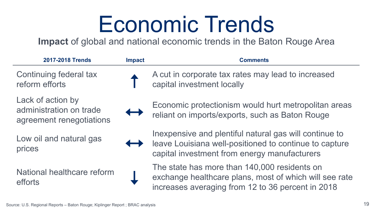### Economic Trends

**Impact** of global and national economic trends in the Baton Rouge Area

| 2017-2018 Trends                                                         | <b>Impact</b>     | <b>Comments</b>                                                                                                                                                   |
|--------------------------------------------------------------------------|-------------------|-------------------------------------------------------------------------------------------------------------------------------------------------------------------|
| Continuing federal tax<br>reform efforts                                 |                   | A cut in corporate tax rates may lead to increased<br>capital investment locally                                                                                  |
| Lack of action by<br>administration on trade<br>agreement renegotiations | $\leftrightarrow$ | Economic protectionism would hurt metropolitan areas<br>reliant on imports/exports, such as Baton Rouge                                                           |
| Low oil and natural gas<br>prices                                        |                   | In expensive and plentiful natural gas will continue to<br>leave Louisiana well-positioned to continue to capture<br>capital investment from energy manufacturers |

National healthcare reform efforts

The state has more than 140,000 residents on exchange healthcare plans, most of which will see rate increases averaging from 12 to 36 percent in 2018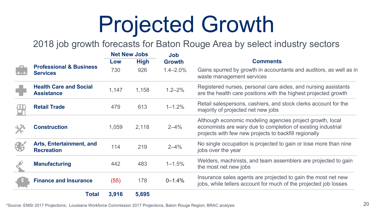# Projected Growth

2018 job growth forecasts for Baton Rouge Area by select industry sectors

|                                                       | <b>Net New Jobs</b> |             | Job           |                                                                                                                                                                                    |  |
|-------------------------------------------------------|---------------------|-------------|---------------|------------------------------------------------------------------------------------------------------------------------------------------------------------------------------------|--|
|                                                       | Low                 | <b>High</b> | <b>Growth</b> | Comments                                                                                                                                                                           |  |
| <b>Professional &amp; Business</b><br><b>Services</b> | 730                 | 926         | $1.4 - 2.0%$  | Gains spurred by growth in accountants and auditors, as well as in<br>waste management services                                                                                    |  |
| <b>Health Care and Social</b><br><b>Assistance</b>    | 1,147               | 1,158       | $1.2 - 2%$    | Registered nurses, personal care aides, and nursing assistants<br>are the health care positions with the highest projected growth                                                  |  |
| <b>Retail Trade</b>                                   | 479                 | 613         | $1 - 1.2%$    | Retail salespersons, cashiers, and stock clerks account for the<br>majority of projected net new jobs                                                                              |  |
| <b>Construction</b>                                   | 1,059               | 2,118       | $2 - 4%$      | Although economic modeling agencies project growth, local<br>economists are wary due to completion of existing industrial<br>projects with few new projects to backfill regionally |  |
| Arts, Entertainment, and<br><b>Recreation</b>         | 114                 | 219         | $2 - 4%$      | No single occupation is projected to gain or lose more than nine<br>jobs over the year                                                                                             |  |
| <b>Manufacturing</b>                                  | 442                 | 483         | $1 - 1.5%$    | Welders, machinists, and team assemblers are projected to gain<br>the most net new jobs                                                                                            |  |
| <b>Finance and Insurance</b>                          | (55)                | 178         | $0 - 1.4%$    | Insurance sales agents are projected to gain the most net new<br>jobs, while tellers account for much of the projected job losses                                                  |  |
| <b>Total</b>                                          | 3,916               | 5,695       |               |                                                                                                                                                                                    |  |

\*Source: EMSI 2017 Projections; Louisiana Workforce Commission 2017 Projections, Baton Rouge Region; BRAC analysis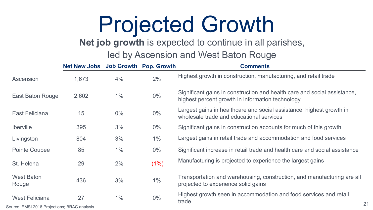### Projected Growth

### **Net job growth** is expected to continue in all parishes,

### led by Ascension and West Baton Rouge

|                            | Net New Jobs Job Growth Pop. Growth |       |       | <b>Comments</b>                                                                                                              |
|----------------------------|-------------------------------------|-------|-------|------------------------------------------------------------------------------------------------------------------------------|
| Ascension                  | 1,673                               | 4%    | 2%    | Highest growth in construction, manufacturing, and retail trade                                                              |
| East Baton Rouge           | 2,602                               | 1%    | $0\%$ | Significant gains in construction and health care and social assistance,<br>highest percent growth in information technology |
| East Feliciana             | 15                                  | $0\%$ | $0\%$ | Largest gains in healthcare and social assistance; highest growth in<br>wholesale trade and educational services             |
| <b>Iberville</b>           | 395                                 | 3%    | $0\%$ | Significant gains in construction accounts for much of this growth                                                           |
| Livingston                 | 804                                 | 3%    | 1%    | Largest gains in retail trade and accommodation and food services                                                            |
| Pointe Coupee              | 85                                  | 1%    | $0\%$ | Significant increase in retail trade and health care and social assistance                                                   |
| St. Helena                 | 29                                  | 2%    | (1%)  | Manufacturing is projected to experience the largest gains                                                                   |
| <b>West Baton</b><br>Rouge | 436                                 | 3%    | 1%    | Transportation and warehousing, construction, and manufacturing are all<br>projected to experience solid gains               |
| <b>West Feliciana</b>      | 27                                  | 1%    | $0\%$ | Highest growth seen in accommodation and food services and retail<br>trade                                                   |

Source: EMSI 2018 Projections; BRAC analysis